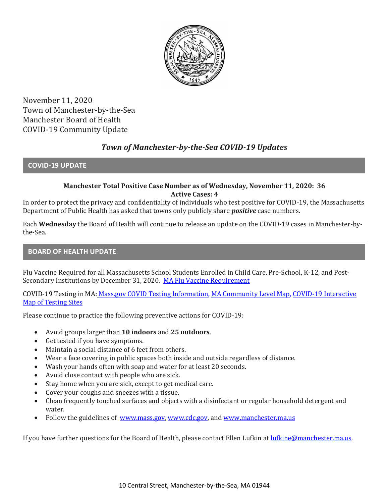

November 11, 2020 Town of Manchester-by-the-Sea Manchester Board of Health COVID-19 Community Update

# *Town of Manchester-by-the-Sea COVID-19 Updates*

**COVID-19 UPDATE**

## **Manchester Total Positive Case Number as of Wednesday, November 11, 2020: 36 Active Cases: 4**

In order to protect the privacy and confidentiality of individuals who test positive for COVID-19, the Massachusetts Department of Public Health has asked that towns only publicly share *positive* case numbers.

Each **Wednesday** the Board of Health will continue to release an update on the COVID-19 cases in Manchester-bythe-Sea.

## **BOARD OF HEALTH UPDATE**

Flu Vaccine Required for all Massachusetts School Students Enrolled in Child Care, Pre-School, K-12, and Post-Secondary Institutions by December 31, 2020. [MA Flu Vaccine Requirement](https://www.mass.gov/news/flu-vaccine-now-required-for-all-massachusetts-school-students-enrolled-in-child-care-pre)

COVID-19 Testing in MA: [Mass.gov COVID Testing Information,](https://www.mass.gov/covid-19-testing) [MA Community Level Map,](https://www.mass.gov/info-details/community-level-covid-19-data-reporting) [COVID-19 Interactive](https://memamaps.maps.arcgis.com/apps/webappviewer/index.html?id=eba3f0395451430b9f631cb095febf13)  [Map of Testing Sites](https://memamaps.maps.arcgis.com/apps/webappviewer/index.html?id=eba3f0395451430b9f631cb095febf13)

Please continue to practice the following preventive actions for COVID-19:

- Avoid groups larger than **10 indoors** and **25 outdoors**.
- Get tested if you have symptoms.
- Maintain a social distance of 6 feet from others.
- Wear a face covering in public spaces both inside and outside regardless of distance.
- Wash your hands often with soap and water for at least 20 seconds.
- Avoid close contact with people who are sick.
- Stay home when you are sick, except to get medical care.
- Cover your coughs and sneezes with a tissue.
- Clean frequently touched surfaces and objects with a disinfectant or regular household detergent and water.
- Follow the guidelines of [www.mass.gov,](https://www.mass.gov/) [www.cdc.gov,](https://www.cdc.gov/) and [www.manchester.ma.us](http://www.manchester.ma.us/)

If you have further questions for the Board of Health, please contact Ellen Lufkin at [lufkine@manchester.ma.us.](mailto:lufkine@manchester.ma.us)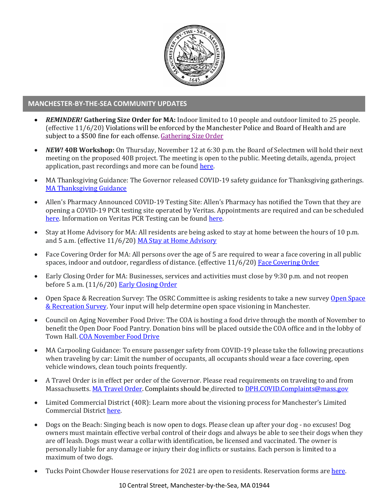

#### **MANCHESTER-BY-THE-SEA COMMUNITY UPDATES**

- *REMINDER!* **Gathering Size Order for MA:** Indoor limited to 10 people and outdoor limited to 25 people. (effective 11/6/20) Violations will be enforced by the Manchester Police and Board of Health and are subject to a \$500 fine for each offense[. Gathering Size Order](http://manchester.ma.us/DocumentCenter/View/3498/Further-Revised-Gatherings-Order-No-54-1?fbclid=IwAR1u4C-nZiQXb52JFMdEm2MPEoZD4saFUE03qJBtxDj6t6IRWRV0XxFg4pw)
- *NEW!* **40B Workshop:** On Thursday, November 12 at 6:30 p.m. the Board of Selectmen will hold their next meeting on the proposed 40B project. The meeting is open to the public. Meeting details, agenda, project application, past recordings and more can be found [here.](http://manchester.ma.us/729/40B)
- MA Thanksgiving Guidance: The Governor released COVID-19 safety guidance for Thanksgiving gatherings. [MA Thanksgiving Guidance](https://www.mass.gov/news/thanksgiving-during-covid-19)
- Allen's Pharmacy Announced COVID-19 Testing Site: Allen's Pharmacy has notified the Town that they are opening a COVID-19 PCR testing site operated by Veritas. Appointments are required and can be scheduled [here.](https://schedule.veritasgenetics.com/) Information on Veritas PCR Testing can be found [here.](https://www.veritasgenetics.com/covid-molecular/)
- Stay at Home Advisory for MA: All residents are being asked to stay at home between the hours of 10 p.m. and 5 a.m. (effective 11/6/20) [MA Stay at Home Advisory](https://www.mass.gov/news/stay-at-home-advisory)
- Face Covering Order for MA: All persons over the age of 5 are required to wear a face covering in all public spaces, indoor and outdoor, regardless of distance. (effective 11/6/20) [Face Covering Order](http://manchester.ma.us/DocumentCenter/View/3499/Revised-Face-Coverings-Order-No-55-1?fbclid=IwAR1a7l39TKetEAZ_mA8K6saG2GZ1dRBKA9-xuJJ3tDlAVUGCp7YatZmCKEo)
- Early Closing Order for MA: Businesses, services and activities must close by 9:30 p.m. and not reopen before 5 a.m. (11/6/20) [Early Closing Order](http://manchester.ma.us/DocumentCenter/View/3497/Early-Closing-and-Alcohol-Order-No-53-1?fbclid=IwAR0HIJzh646XAhpCz_miIpRMdh-nd_BhPpuljf5k-rkQey8DCI-dVFIfMlk)
- Open Space & Recreation Survey: The OSRC Committee is asking residents to take a new survey Open Space [& Recreation Survey.](http://manchester.ma.us/356/Open-Space-Recreation-Committee) Your input will help determine open space visioning in Manchester.
- Council on Aging November Food Drive: The COA is hosting a food drive through the month of November to benefit the Open Door Food Pantry. Donation bins will be placed outside the COA office and in the lobby of Town Hall. [COA November Food Drive](http://manchester.ma.us/DocumentCenter/View/3504/COA-November-Food-Drive-1)
- MA Carpooling Guidance: To ensure passenger safety from COVID-19 please take the following precautions when traveling by car: Limit the number of occupants, all occupants should wear a face covering, open vehicle windows, clean touch points frequently.
- A Travel Order is in effect per order of the Governor. Please read requirements on traveling to and from Massachusetts. [MA Travel Order.](https://www.mass.gov/info-details/covid-19-travel-order) Complaints should be directed to [DPH.COVID.Complaints@mass.gov](mailto:DPH.COVID.Complaints@mass.gov)
- Limited Commercial District (40R): Learn more about the visioning process for Manchester's Limited Commercial District [here.](http://ma-manchesterbythesea.civicplus.com/731/40RLCD-Study)
- Dogs on the Beach: Singing beach is now open to dogs. Please clean up after your dog no excuses! Dog owners must maintain effective verbal control of their dogs and always be able to see their dogs when they are off leash. Dogs must wear a collar with identification, be licensed and vaccinated. The owner is personally liable for any damage or injury their dog inflicts or sustains. Each person is limited to a maximum of two dogs.
- Tucks Point Chowder House reservations for 2021 are open to residents. Reservation forms are [here.](http://ma-manchesterbythesea.civicplus.com/DocumentCenter/View/3402/2021-Chowder-House-Application?bidId=)